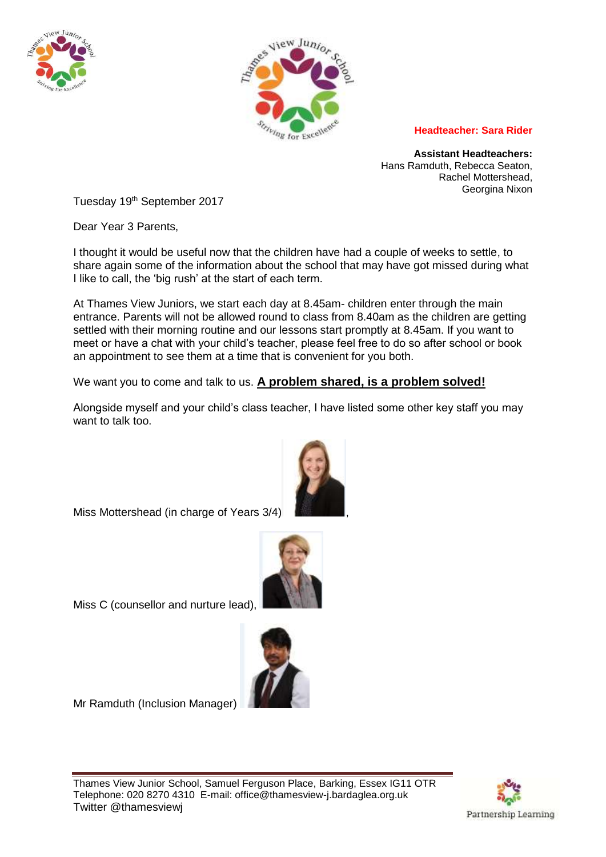



## **Headteacher: Sara Rider**

**Assistant Headteachers:** Hans Ramduth, Rebecca Seaton, Rachel Mottershead, Georgina Nixon

Tuesday 19<sup>th</sup> September 2017

Dear Year 3 Parents,

I thought it would be useful now that the children have had a couple of weeks to settle, to share again some of the information about the school that may have got missed during what I like to call, the 'big rush' at the start of each term.

At Thames View Juniors, we start each day at 8.45am- children enter through the main entrance. Parents will not be allowed round to class from 8.40am as the children are getting settled with their morning routine and our lessons start promptly at 8.45am. If you want to meet or have a chat with your child's teacher, please feel free to do so after school or book an appointment to see them at a time that is convenient for you both.

We want you to come and talk to us. **A problem shared, is a problem solved!**

Alongside myself and your child's class teacher, I have listed some other key staff you may want to talk too.

Miss Mottershead (in charge of Years 3/4)



Miss C (counsellor and nurture lead),



Mr Ramduth (Inclusion Manager)

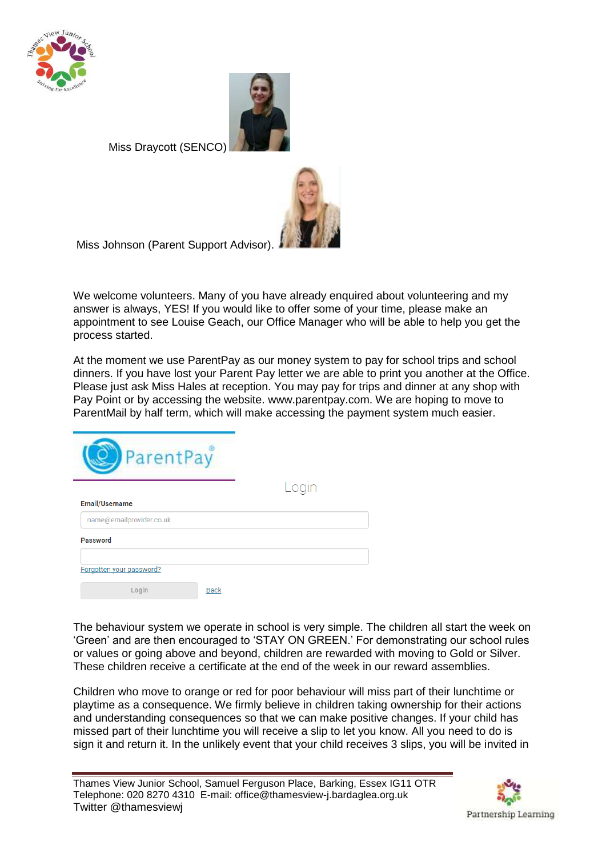



Miss Draycott (SENCO)



Miss Johnson (Parent Support Advisor).

We welcome volunteers. Many of you have already enquired about volunteering and my answer is always, YES! If you would like to offer some of your time, please make an appointment to see Louise Geach, our Office Manager who will be able to help you get the process started.

At the moment we use ParentPay as our money system to pay for school trips and school dinners. If you have lost your Parent Pay letter we are able to print you another at the Office. Please just ask Miss Hales at reception. You may pay for trips and dinner at any shop with Pay Point or by accessing the website. www.parentpay.com. We are hoping to move to ParentMail by half term, which will make accessing the payment system much easier.



Login

| <b>Email/Username</b>    |             |
|--------------------------|-------------|
| name@emailprovider.co.uk |             |
| <b>Password</b>          |             |
|                          |             |
| Forgotten your password? |             |
| Login                    | <b>Back</b> |

The behaviour system we operate in school is very simple. The children all start the week on 'Green' and are then encouraged to 'STAY ON GREEN.' For demonstrating our school rules or values or going above and beyond, children are rewarded with moving to Gold or Silver. These children receive a certificate at the end of the week in our reward assemblies.

Children who move to orange or red for poor behaviour will miss part of their lunchtime or playtime as a consequence. We firmly believe in children taking ownership for their actions and understanding consequences so that we can make positive changes. If your child has missed part of their lunchtime you will receive a slip to let you know. All you need to do is sign it and return it. In the unlikely event that your child receives 3 slips, you will be invited in

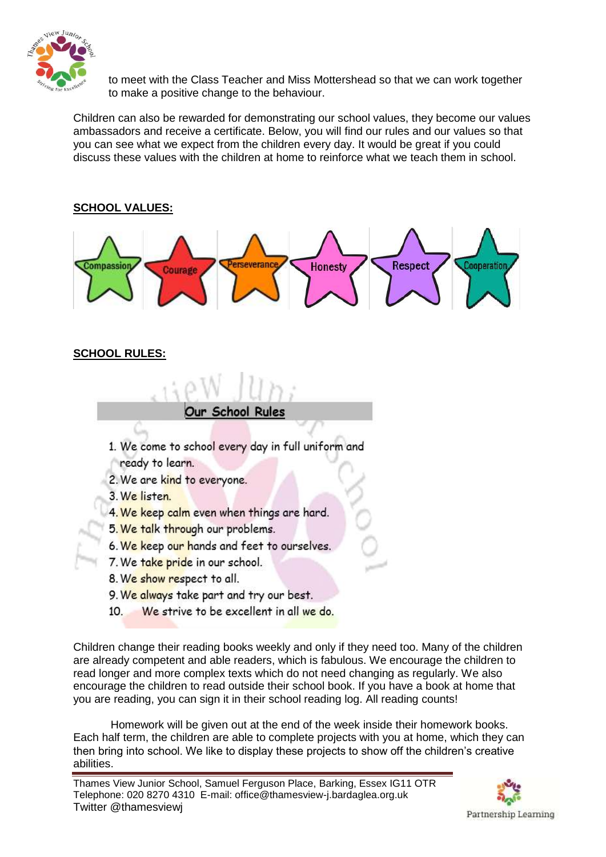

to meet with the Class Teacher and Miss Mottershead so that we can work together to make a positive change to the behaviour.

Children can also be rewarded for demonstrating our school values, they become our values ambassadors and receive a certificate. Below, you will find our rules and our values so that you can see what we expect from the children every day. It would be great if you could discuss these values with the children at home to reinforce what we teach them in school.



## **SCHOOL RULES:**



- 1. We come to school every day in full uniform and
- ready to learn.
- 2. We are kind to everyone.
- 3. We listen.
- 4. We keep calm even when things are hard.
- 5. We talk through our problems.
- 6. We keep our hands and feet to ourselves.
- 7. We take pride in our school.
- 8. We show respect to all.
- 9. We always take part and try our best.
- We strive to be excellent in all we do.  $10<sub>1</sub>$

Children change their reading books weekly and only if they need too. Many of the children are already competent and able readers, which is fabulous. We encourage the children to read longer and more complex texts which do not need changing as regularly. We also encourage the children to read outside their school book. If you have a book at home that you are reading, you can sign it in their school reading log. All reading counts!

 Homework will be given out at the end of the week inside their homework books. Each half term, the children are able to complete projects with you at home, which they can then bring into school. We like to display these projects to show off the children's creative abilities.